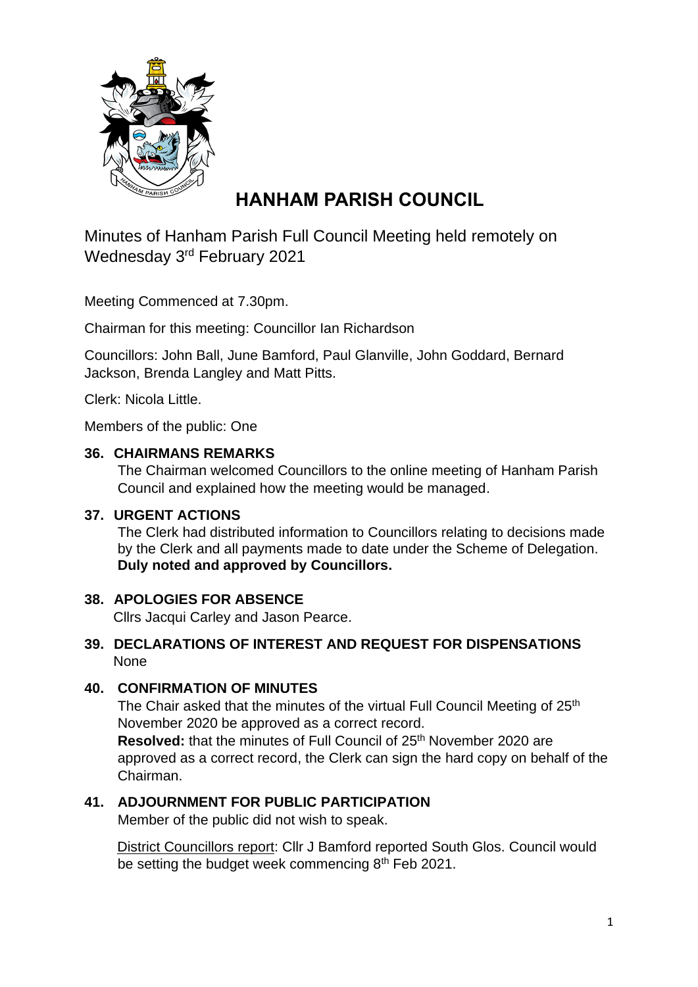

# **HANHAM PARISH COUNCIL**

Minutes of Hanham Parish Full Council Meeting held remotely on Wednesday 3<sup>rd</sup> February 2021

Meeting Commenced at 7.30pm.

Chairman for this meeting: Councillor Ian Richardson

Councillors: John Ball, June Bamford, Paul Glanville, John Goddard, Bernard Jackson, Brenda Langley and Matt Pitts.

Clerk: Nicola Little.

Members of the public: One

#### **36. CHAIRMANS REMARKS**

The Chairman welcomed Councillors to the online meeting of Hanham Parish Council and explained how the meeting would be managed.

#### **37. URGENT ACTIONS**

The Clerk had distributed information to Councillors relating to decisions made by the Clerk and all payments made to date under the Scheme of Delegation. **Duly noted and approved by Councillors.**

## **38. APOLOGIES FOR ABSENCE**

Cllrs Jacqui Carley and Jason Pearce.

#### **39. DECLARATIONS OF INTEREST AND REQUEST FOR DISPENSATIONS** None

## **40. CONFIRMATION OF MINUTES**

The Chair asked that the minutes of the virtual Full Council Meeting of 25<sup>th</sup> November 2020 be approved as a correct record.

**Resolved:** that the minutes of Full Council of 25<sup>th</sup> November 2020 are approved as a correct record, the Clerk can sign the hard copy on behalf of the Chairman.

## **41. ADJOURNMENT FOR PUBLIC PARTICIPATION**

Member of the public did not wish to speak.

 District Councillors report: Cllr J Bamford reported South Glos. Council would be setting the budget week commencing 8<sup>th</sup> Feb 2021.